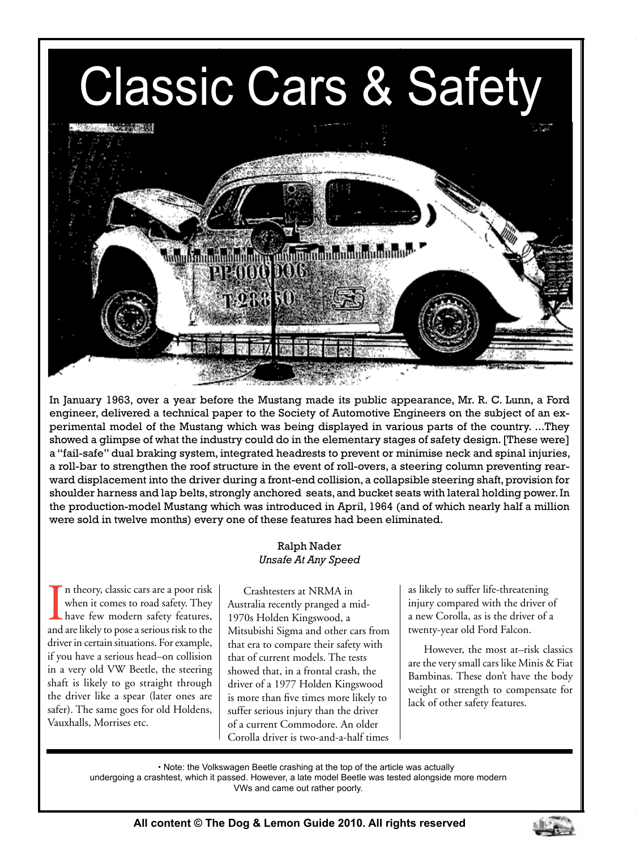

In January 1963, over a year before the Mustang made its public appearance, Mr. R. C. Lunn, a Ford engineer, delivered a technical paper to the Society of Automotive Engineers on the subject of an experimental model of the Mustang which was being displayed in various parts of the country. ...They showed a glimpse of what the industry could do in the elementary stages of safety design. [These were] a "fail-safe" dual braking system, integrated headrests to prevent or minimise neck and spinal injuries, a roll-bar to strengthen the roof structure in the event of roll-overs, a steering column preventing rearward displacement into the driver during a front-end collision, a collapsible steering shaft, provision for shoulder harness and lap belts, strongly anchored seats, and bucket seats with lateral holding power. In the production-model Mustang which was introduced in April, 1964 (and of which nearly half a million were sold in twelve months) every one of these features had been eliminated.

#### Ralph Nader *Unsafe At Any Speed*

In theory, classic cars are a poor risk<br>when it comes to road safety. They<br>have few modern safety features,<br>and are likely to pose a serious risk to the n theory, classic cars are a poor risk when it comes to road safety. They have few modern safety features, driver in certain situations. For example, if you have a serious head–on collision in a very old VW Beetle, the steering shaft is likely to go straight through the driver like a spear (later ones are safer). The same goes for old Holdens, Vauxhalls, Morrises etc.

Crashtesters at NRMA in Australia recently pranged a mid-1970s Holden Kingswood, a Mitsubishi Sigma and other cars from that era to compare their safety with that of current models. The tests showed that, in a frontal crash, the driver of a 1977 Holden Kingswood is more than five times more likely to suffer serious injury than the driver of a current Commodore. An older Corolla driver is two-and-a-half times

as likely to suffer life-threatening injury compared with the driver of a new Corolla, as is the driver of a twenty-year old Ford Falcon.

However, the most at–risk classics are the very small cars like Minis & Fiat Bambinas. These don't have the body weight or strength to compensate for lack of other safety features.

• Note: the Volkswagen Beetle crashing at the top of the article was actually undergoing a crashtest, which it passed. However, a late model Beetle was tested alongside more modern VWs and came out rather poorly.